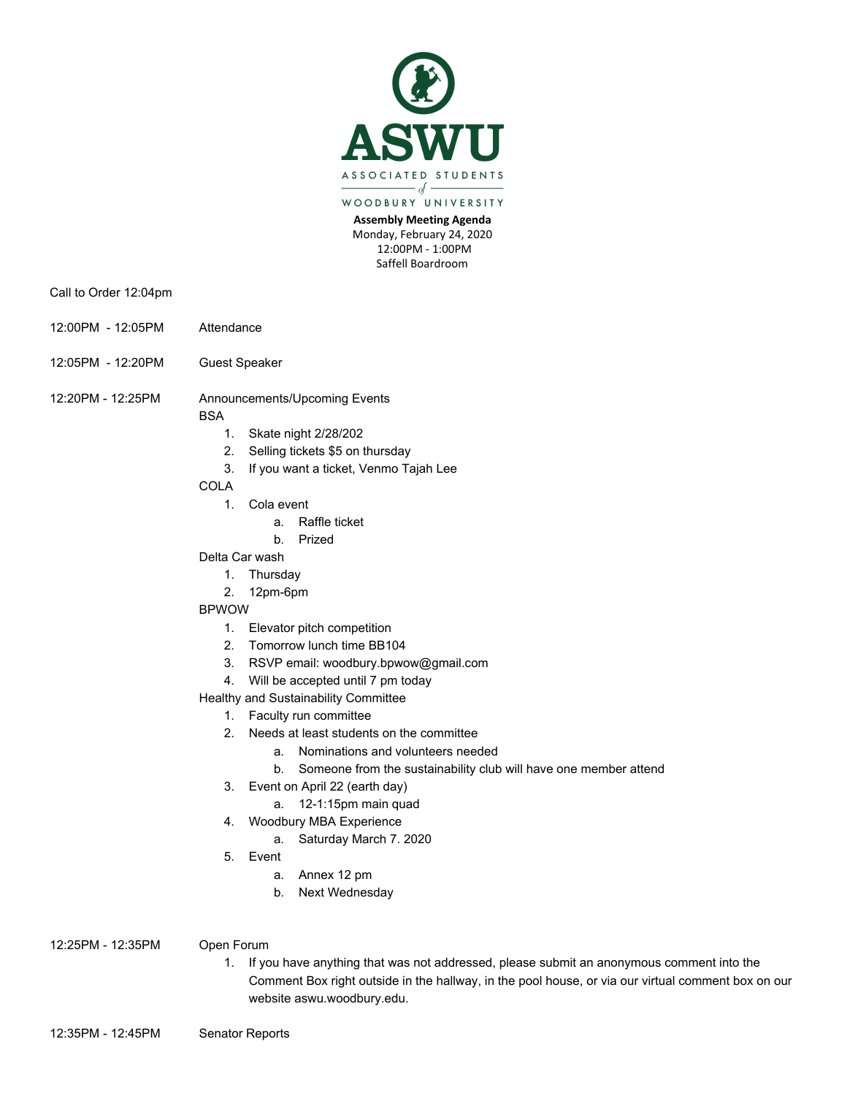

WOODBURY UNIVERSITY

**Assembly Meeting Agenda** Monday, February 24, 2020 12:00PM - 1:00PM Saffell Boardroom

Call to Order 12:04pm

- 12:00PM 12:05PM Attendance
- 12:05PM 12:20PM Guest Speaker

12:20PM - 12:25PM Announcements/Upcoming Events

**BSA** 

- 1. Skate night 2/28/202
- 2. Selling tickets \$5 on thursday
- 3. If you want a ticket, Venmo Tajah Lee

**COLA** 

- 1. Cola event
	- a. Raffle ticket
	- b. Prized

Delta Car wash

- 1. Thursday
- 2. 12pm-6pm

## BPWOW

- 1. Elevator pitch competition
- 2. Tomorrow lunch time BB104
- 3. RSVP email: woodbury.bpwow@gmail.com
- 4. Will be accepted until 7 pm today

Healthy and Sustainability Committee

- 1. Faculty run committee
- 2. Needs at least students on the committee
	- a. Nominations and volunteers needed
	- b. Someone from the sustainability club will have one member attend
- 3. Event on April 22 (earth day)
	- a. 12-1:15pm main quad
- 4. Woodbury MBA Experience
	- a. Saturday March 7. 2020
- 5. Event
	- a. Annex 12 pm
	- b. Next Wednesday
- 12:25PM 12:35PM Open Forum

1. If you have anything that was not addressed, please submit an anonymous comment into the Comment Box right outside in the hallway, in the pool house, or via our virtual comment box on our website aswu.woodbury.edu.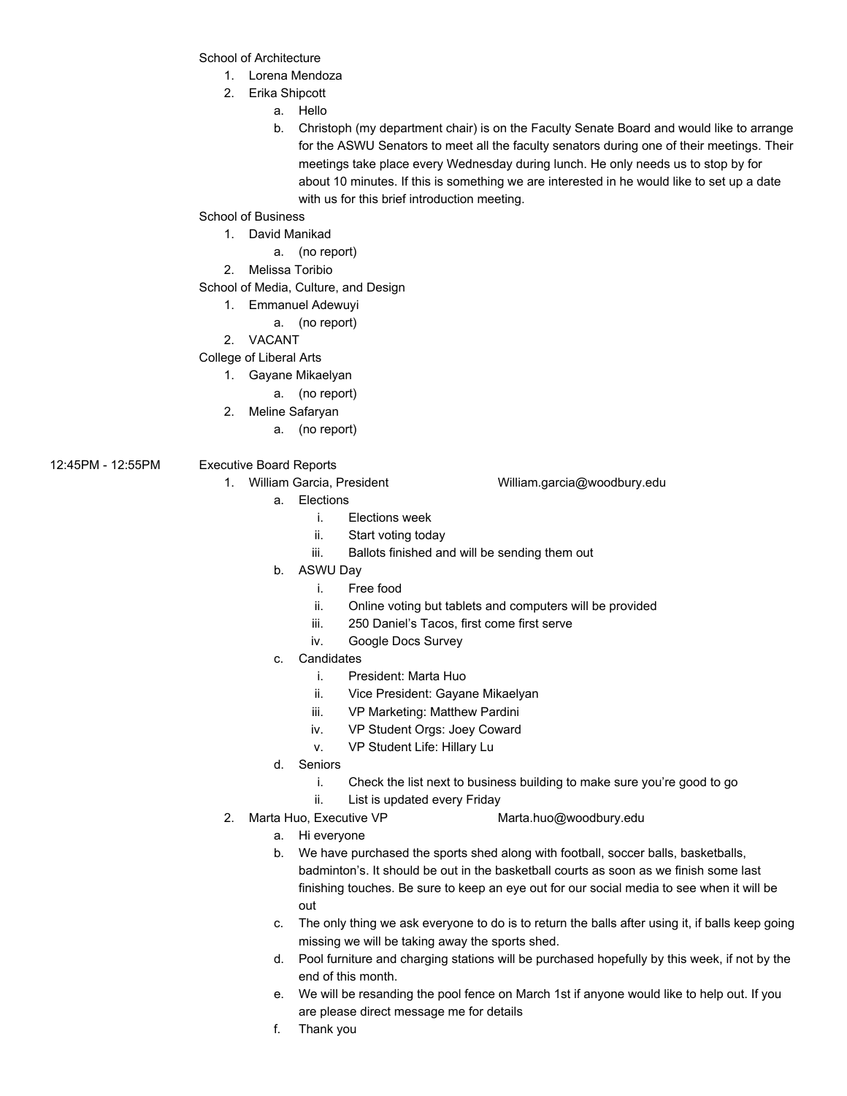School of Architecture

- 1. Lorena Mendoza
- 2. Erika Shipcott
	- a. Hello
	- b. Christoph (my department chair) is on the Faculty Senate Board and would like to arrange for the ASWU Senators to meet all the faculty senators during one of their meetings. Their meetings take place every Wednesday during lunch. He only needs us to stop by for about 10 minutes. If this is something we are interested in he would like to set up a date with us for this brief introduction meeting.

## School of Business

- 1. David Manikad
	- a. (no report)
- 2. Melissa Toribio

School of Media, Culture, and Design

1. Emmanuel Adewuyi

a. (no report)

2. VACANT

College of Liberal Arts

- 1. Gayane Mikaelyan
	- a. (no report)
	- 2. Meline Safaryan
		- a. (no report)

## 12:45PM - 12:55PM Executive Board Reports

- 1. William Garcia, President William.garcia@woodbury.edu
	-
- 
- a. Elections
	- i. Elections week
	- ii. Start voting today
	- iii. Ballots finished and will be sending them out
- b. ASWU Day
	- i. Free food
	- ii. Online voting but tablets and computers will be provided
	- iii. 250 Daniel's Tacos, first come first serve
	- iv. Google Docs Survey
- c. Candidates
	- i. President: Marta Huo
	- ii. Vice President: Gayane Mikaelyan
	- iii. VP Marketing: Matthew Pardini
	- iv. VP Student Orgs: Joey Coward
	- v. VP Student Life: Hillary Lu
- d. Seniors
	- i. Check the list next to business building to make sure you're good to go
	- ii. List is updated every Friday
- 2. Marta Huo, Executive VP Marta.huo@woodbury.edu
	- a. Hi everyone
	- b. We have purchased the sports shed along with football, soccer balls, basketballs, badminton's. It should be out in the basketball courts as soon as we finish some last finishing touches. Be sure to keep an eye out for our social media to see when it will be out
	- c. The only thing we ask everyone to do is to return the balls after using it, if balls keep going missing we will be taking away the sports shed.
	- d. Pool furniture and charging stations will be purchased hopefully by this week, if not by the end of this month.
	- e. We will be resanding the pool fence on March 1st if anyone would like to help out. If you are please direct message me for details
	- f. Thank you